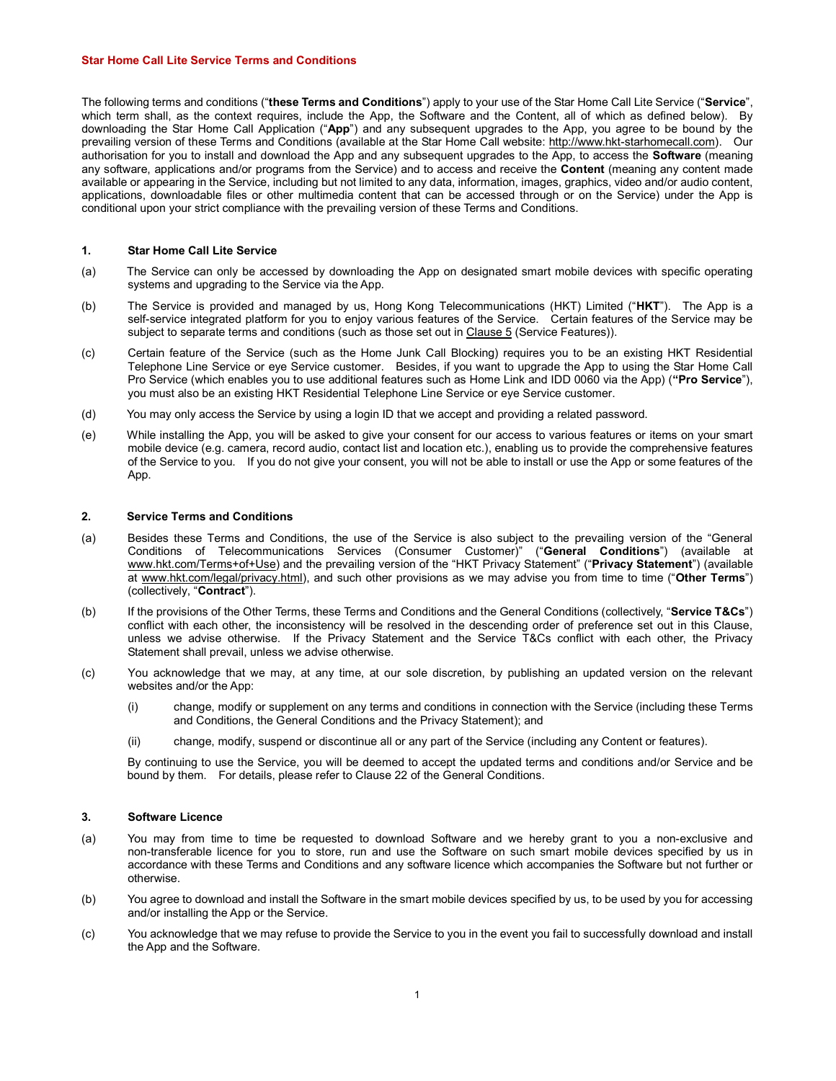#### Star Home Call Lite Service Terms and Conditions

The following terms and conditions ("these Terms and Conditions") apply to your use of the Star Home Call Lite Service ("Service", which term shall, as the context requires, include the App, the Software and the Content, all of which as defined below). By downloading the Star Home Call Application ("App") and any subsequent upgrades to the App, you agree to be bound by the prevailing version of these Terms and Conditions (available at the Star Home Call website: http://www.hkt-starhomecall.com). Our authorisation for you to install and download the App and any subsequent upgrades to the App, to access the Software (meaning any software, applications and/or programs from the Service) and to access and receive the **Content** (meaning any content made available or appearing in the Service, including but not limited to any data, information, images, graphics, video and/or audio content, applications, downloadable files or other multimedia content that can be accessed through or on the Service) under the App is conditional upon your strict compliance with the prevailing version of these Terms and Conditions.

# 1. Star Home Call Lite Service

- (a) The Service can only be accessed by downloading the App on designated smart mobile devices with specific operating systems and upgrading to the Service via the App.
- (b) The Service is provided and managed by us, Hong Kong Telecommunications (HKT) Limited ("HKT"). The App is a self-service integrated platform for you to enjoy various features of the Service. Certain features of the Service may be subject to separate terms and conditions (such as those set out in Clause 5 (Service Features)).
- (c) Certain feature of the Service (such as the Home Junk Call Blocking) requires you to be an existing HKT Residential Telephone Line Service or eye Service customer. Besides, if you want to upgrade the App to using the Star Home Call Pro Service (which enables you to use additional features such as Home Link and IDD 0060 via the App) ("Pro Service"), you must also be an existing HKT Residential Telephone Line Service or eye Service customer.
- (d) You may only access the Service by using a login ID that we accept and providing a related password.
- (e) While installing the App, you will be asked to give your consent for our access to various features or items on your smart mobile device (e.g. camera, record audio, contact list and location etc.), enabling us to provide the comprehensive features of the Service to you. If you do not give your consent, you will not be able to install or use the App or some features of the App.

## 2. Service Terms and Conditions

- (a) Besides these Terms and Conditions, the use of the Service is also subject to the prevailing version of the "General Conditions of Telecommunications Services (Consumer Customer)" ("General Conditions") (available at www.hkt.com/Terms+of+Use) and the prevailing version of the "HKT Privacy Statement" ("Privacy Statement") (available at www.hkt.com/legal/privacy.html), and such other provisions as we may advise you from time to time ("Other Terms") (collectively, "Contract").
- (b) If the provisions of the Other Terms, these Terms and Conditions and the General Conditions (collectively, "Service T&Cs") conflict with each other, the inconsistency will be resolved in the descending order of preference set out in this Clause, unless we advise otherwise. If the Privacy Statement and the Service T&Cs conflict with each other, the Privacy Statement shall prevail, unless we advise otherwise.
- (c) You acknowledge that we may, at any time, at our sole discretion, by publishing an updated version on the relevant websites and/or the App:
	- (i) change, modify or supplement on any terms and conditions in connection with the Service (including these Terms and Conditions, the General Conditions and the Privacy Statement); and
	- (ii) change, modify, suspend or discontinue all or any part of the Service (including any Content or features).

By continuing to use the Service, you will be deemed to accept the updated terms and conditions and/or Service and be bound by them. For details, please refer to Clause 22 of the General Conditions.

### 3. Software Licence

- (a) You may from time to time be requested to download Software and we hereby grant to you a non-exclusive and non-transferable licence for you to store, run and use the Software on such smart mobile devices specified by us in accordance with these Terms and Conditions and any software licence which accompanies the Software but not further or otherwise.
- (b) You agree to download and install the Software in the smart mobile devices specified by us, to be used by you for accessing and/or installing the App or the Service.
- (c) You acknowledge that we may refuse to provide the Service to you in the event you fail to successfully download and install the App and the Software.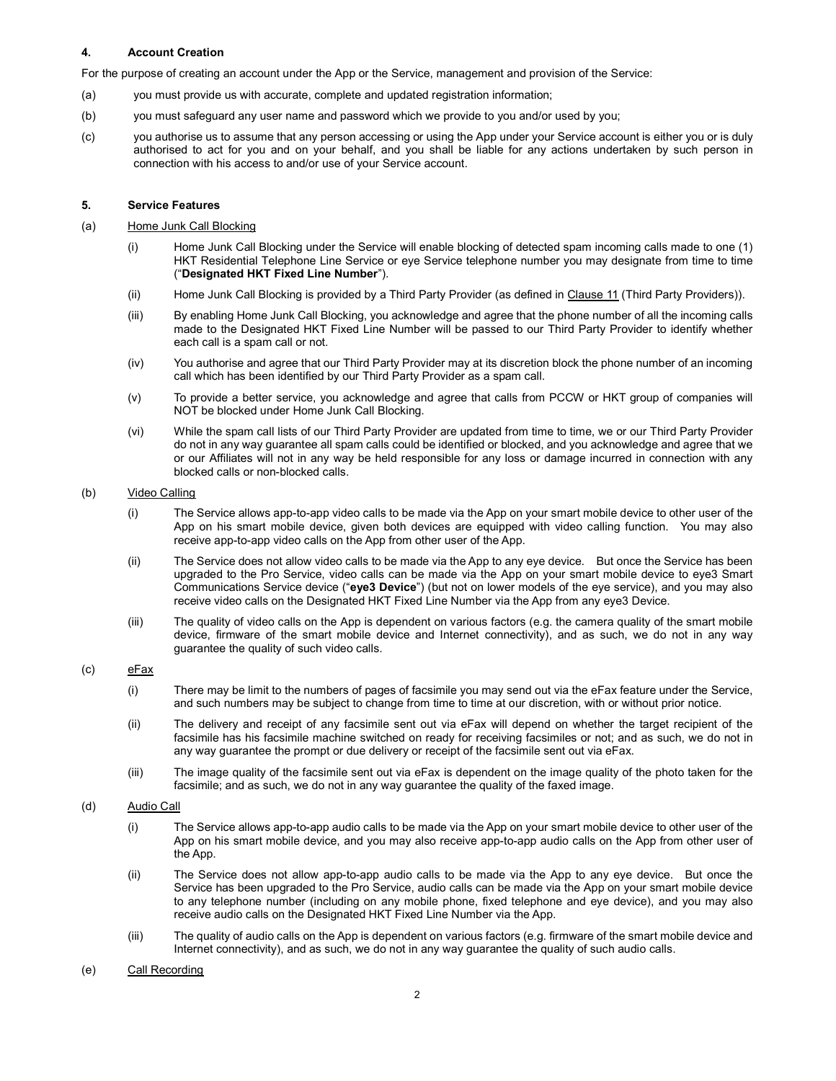# 4. Account Creation

For the purpose of creating an account under the App or the Service, management and provision of the Service:

- (a) you must provide us with accurate, complete and updated registration information;
- (b) you must safeguard any user name and password which we provide to you and/or used by you;
- (c) you authorise us to assume that any person accessing or using the App under your Service account is either you or is duly authorised to act for you and on your behalf, and you shall be liable for any actions undertaken by such person in connection with his access to and/or use of your Service account.

## 5. Service Features

## (a) Home Junk Call Blocking

- (i) Home Junk Call Blocking under the Service will enable blocking of detected spam incoming calls made to one (1) HKT Residential Telephone Line Service or eye Service telephone number you may designate from time to time ("Designated HKT Fixed Line Number").
- (ii) Home Junk Call Blocking is provided by a Third Party Provider (as defined in Clause 11 (Third Party Providers)).
- (iii) By enabling Home Junk Call Blocking, you acknowledge and agree that the phone number of all the incoming calls made to the Designated HKT Fixed Line Number will be passed to our Third Party Provider to identify whether each call is a spam call or not.
- (iv) You authorise and agree that our Third Party Provider may at its discretion block the phone number of an incoming call which has been identified by our Third Party Provider as a spam call.
- (v) To provide a better service, you acknowledge and agree that calls from PCCW or HKT group of companies will NOT be blocked under Home Junk Call Blocking.
- (vi) While the spam call lists of our Third Party Provider are updated from time to time, we or our Third Party Provider do not in any way guarantee all spam calls could be identified or blocked, and you acknowledge and agree that we or our Affiliates will not in any way be held responsible for any loss or damage incurred in connection with any blocked calls or non-blocked calls.

## (b) Video Calling

- (i) The Service allows app-to-app video calls to be made via the App on your smart mobile device to other user of the App on his smart mobile device, given both devices are equipped with video calling function. You may also receive app-to-app video calls on the App from other user of the App.
- (ii) The Service does not allow video calls to be made via the App to any eye device. But once the Service has been upgraded to the Pro Service, video calls can be made via the App on your smart mobile device to eye3 Smart Communications Service device ("eye3 Device") (but not on lower models of the eye service), and you may also receive video calls on the Designated HKT Fixed Line Number via the App from any eye3 Device.
- (iii) The quality of video calls on the App is dependent on various factors (e.g. the camera quality of the smart mobile device, firmware of the smart mobile device and Internet connectivity), and as such, we do not in any way guarantee the quality of such video calls.

# (c) eFax

- (i) There may be limit to the numbers of pages of facsimile you may send out via the eFax feature under the Service, and such numbers may be subject to change from time to time at our discretion, with or without prior notice.
- (ii) The delivery and receipt of any facsimile sent out via eFax will depend on whether the target recipient of the facsimile has his facsimile machine switched on ready for receiving facsimiles or not; and as such, we do not in any way guarantee the prompt or due delivery or receipt of the facsimile sent out via eFax.
- (iii) The image quality of the facsimile sent out via eFax is dependent on the image quality of the photo taken for the facsimile; and as such, we do not in any way guarantee the quality of the faxed image.

# (d) Audio Call

- (i) The Service allows app-to-app audio calls to be made via the App on your smart mobile device to other user of the App on his smart mobile device, and you may also receive app-to-app audio calls on the App from other user of the App.
- (ii) The Service does not allow app-to-app audio calls to be made via the App to any eye device. But once the Service has been upgraded to the Pro Service, audio calls can be made via the App on your smart mobile device to any telephone number (including on any mobile phone, fixed telephone and eye device), and you may also receive audio calls on the Designated HKT Fixed Line Number via the App.
- (iii) The quality of audio calls on the App is dependent on various factors (e.g. firmware of the smart mobile device and Internet connectivity), and as such, we do not in any way guarantee the quality of such audio calls.

## (e) Call Recording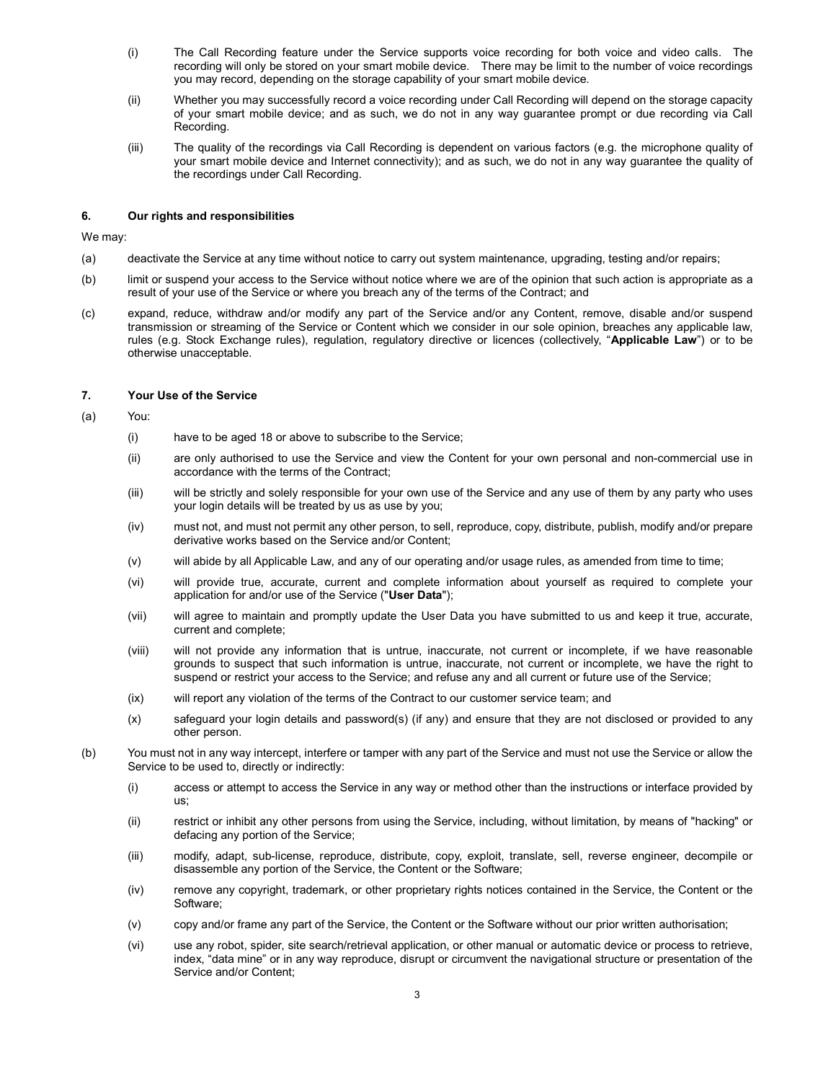- (i) The Call Recording feature under the Service supports voice recording for both voice and video calls. The recording will only be stored on your smart mobile device. There may be limit to the number of voice recordings you may record, depending on the storage capability of your smart mobile device.
- (ii) Whether you may successfully record a voice recording under Call Recording will depend on the storage capacity of your smart mobile device; and as such, we do not in any way guarantee prompt or due recording via Call Recording.
- (iii) The quality of the recordings via Call Recording is dependent on various factors (e.g. the microphone quality of your smart mobile device and Internet connectivity); and as such, we do not in any way guarantee the quality of the recordings under Call Recording.

## 6. Our rights and responsibilities

We may:

- (a) deactivate the Service at any time without notice to carry out system maintenance, upgrading, testing and/or repairs;
- (b) limit or suspend your access to the Service without notice where we are of the opinion that such action is appropriate as a result of your use of the Service or where you breach any of the terms of the Contract; and
- (c) expand, reduce, withdraw and/or modify any part of the Service and/or any Content, remove, disable and/or suspend transmission or streaming of the Service or Content which we consider in our sole opinion, breaches any applicable law, rules (e.g. Stock Exchange rules), regulation, regulatory directive or licences (collectively, "Applicable Law") or to be otherwise unacceptable.

### 7. Your Use of the Service

- (a) You:
	- (i) have to be aged 18 or above to subscribe to the Service;
	- (ii) are only authorised to use the Service and view the Content for your own personal and non-commercial use in accordance with the terms of the Contract;
	- (iii) will be strictly and solely responsible for your own use of the Service and any use of them by any party who uses your login details will be treated by us as use by you;
	- (iv) must not, and must not permit any other person, to sell, reproduce, copy, distribute, publish, modify and/or prepare derivative works based on the Service and/or Content;
	- (v) will abide by all Applicable Law, and any of our operating and/or usage rules, as amended from time to time;
	- (vi) will provide true, accurate, current and complete information about yourself as required to complete your application for and/or use of the Service ("User Data");
	- (vii) will agree to maintain and promptly update the User Data you have submitted to us and keep it true, accurate, current and complete;
	- (viii) will not provide any information that is untrue, inaccurate, not current or incomplete, if we have reasonable grounds to suspect that such information is untrue, inaccurate, not current or incomplete, we have the right to suspend or restrict your access to the Service; and refuse any and all current or future use of the Service;
	- (ix) will report any violation of the terms of the Contract to our customer service team; and
	- (x) safeguard your login details and password(s) (if any) and ensure that they are not disclosed or provided to any other person.
- (b) You must not in any way intercept, interfere or tamper with any part of the Service and must not use the Service or allow the Service to be used to, directly or indirectly:
	- (i) access or attempt to access the Service in any way or method other than the instructions or interface provided by us;
	- (ii) restrict or inhibit any other persons from using the Service, including, without limitation, by means of "hacking" or defacing any portion of the Service;
	- (iii) modify, adapt, sub-license, reproduce, distribute, copy, exploit, translate, sell, reverse engineer, decompile or disassemble any portion of the Service, the Content or the Software;
	- (iv) remove any copyright, trademark, or other proprietary rights notices contained in the Service, the Content or the Software;
	- (v) copy and/or frame any part of the Service, the Content or the Software without our prior written authorisation;
	- (vi) use any robot, spider, site search/retrieval application, or other manual or automatic device or process to retrieve, index, "data mine" or in any way reproduce, disrupt or circumvent the navigational structure or presentation of the Service and/or Content;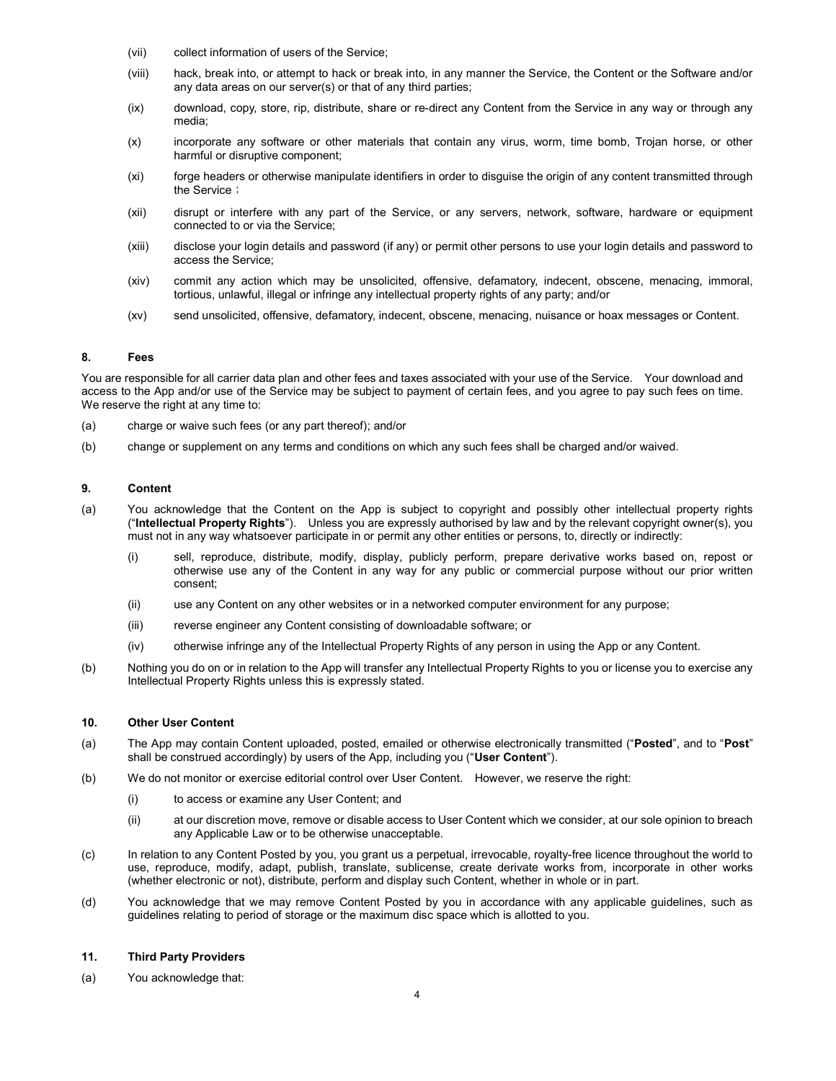- (vii) collect information of users of the Service;
- (viii) hack, break into, or attempt to hack or break into, in any manner the Service, the Content or the Software and/or any data areas on our server(s) or that of any third parties;
- (ix) download, copy, store, rip, distribute, share or re-direct any Content from the Service in any way or through any media;
- (x) incorporate any software or other materials that contain any virus, worm, time bomb, Trojan horse, or other harmful or disruptive component;
- (xi) forge headers or otherwise manipulate identifiers in order to disguise the origin of any content transmitted through the Service;
- (xii) disrupt or interfere with any part of the Service, or any servers, network, software, hardware or equipment connected to or via the Service;
- (xiii) disclose your login details and password (if any) or permit other persons to use your login details and password to access the Service;
- (xiv) commit any action which may be unsolicited, offensive, defamatory, indecent, obscene, menacing, immoral, tortious, unlawful, illegal or infringe any intellectual property rights of any party; and/or
- (xv) send unsolicited, offensive, defamatory, indecent, obscene, menacing, nuisance or hoax messages or Content.

# 8. Fees

You are responsible for all carrier data plan and other fees and taxes associated with your use of the Service. Your download and access to the App and/or use of the Service may be subject to payment of certain fees, and you agree to pay such fees on time. We reserve the right at any time to:

- (a) charge or waive such fees (or any part thereof); and/or
- (b) change or supplement on any terms and conditions on which any such fees shall be charged and/or waived.

## 9. Content

- (a) You acknowledge that the Content on the App is subject to copyright and possibly other intellectual property rights ("Intellectual Property Rights"). Unless you are expressly authorised by law and by the relevant copyright owner(s), you must not in any way whatsoever participate in or permit any other entities or persons, to, directly or indirectly:
	- (i) sell, reproduce, distribute, modify, display, publicly perform, prepare derivative works based on, repost or otherwise use any of the Content in any way for any public or commercial purpose without our prior written consent;
	- (ii) use any Content on any other websites or in a networked computer environment for any purpose;
	- (iii) reverse engineer any Content consisting of downloadable software; or
	- (iv) otherwise infringe any of the Intellectual Property Rights of any person in using the App or any Content.
- (b) Nothing you do on or in relation to the App will transfer any Intellectual Property Rights to you or license you to exercise any Intellectual Property Rights unless this is expressly stated.

## 10. Other User Content

- (a) The App may contain Content uploaded, posted, emailed or otherwise electronically transmitted ("Posted", and to "Post" shall be construed accordingly) by users of the App, including you ("User Content").
- (b) We do not monitor or exercise editorial control over User Content. However, we reserve the right:
	- (i) to access or examine any User Content; and
	- (ii) at our discretion move, remove or disable access to User Content which we consider, at our sole opinion to breach any Applicable Law or to be otherwise unacceptable.
- (c) In relation to any Content Posted by you, you grant us a perpetual, irrevocable, royalty-free licence throughout the world to use, reproduce, modify, adapt, publish, translate, sublicense, create derivate works from, incorporate in other works (whether electronic or not), distribute, perform and display such Content, whether in whole or in part.
- (d) You acknowledge that we may remove Content Posted by you in accordance with any applicable guidelines, such as guidelines relating to period of storage or the maximum disc space which is allotted to you.

#### 11. Third Party Providers

(a) You acknowledge that: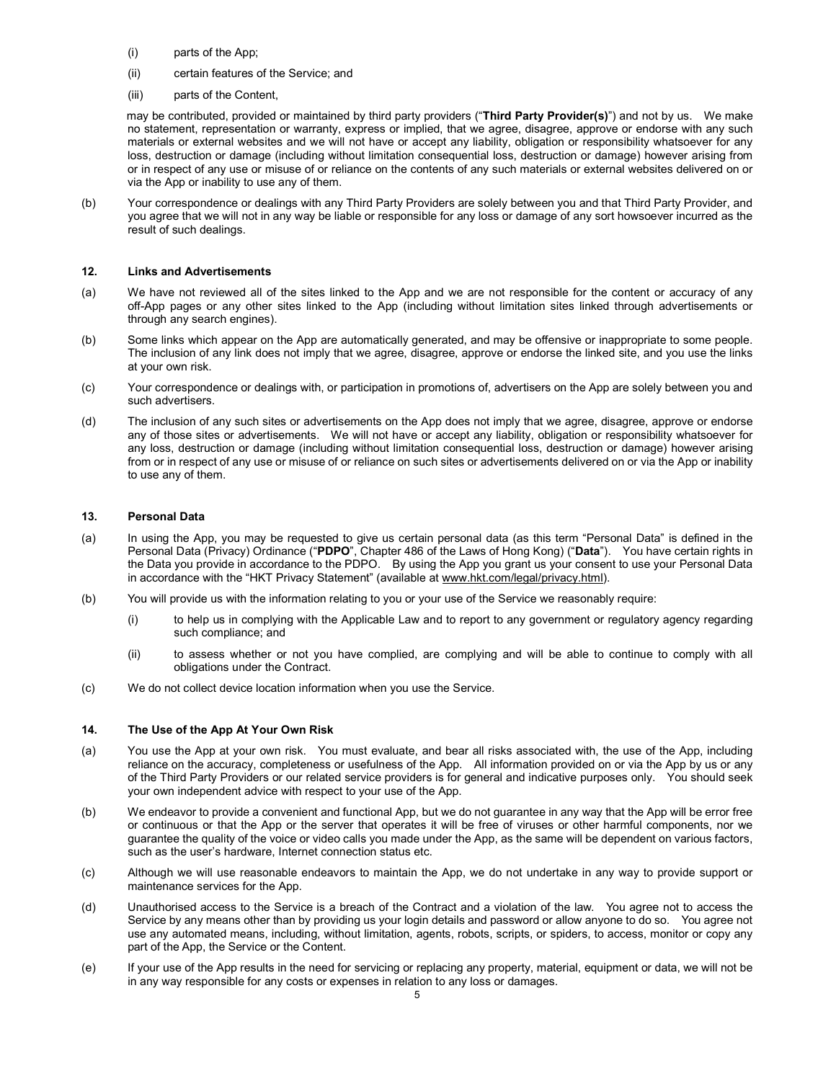- (i) parts of the App;
- (ii) certain features of the Service; and
- (iii) parts of the Content,

may be contributed, provided or maintained by third party providers ("Third Party Provider(s)") and not by us. We make no statement, representation or warranty, express or implied, that we agree, disagree, approve or endorse with any such materials or external websites and we will not have or accept any liability, obligation or responsibility whatsoever for any loss, destruction or damage (including without limitation consequential loss, destruction or damage) however arising from or in respect of any use or misuse of or reliance on the contents of any such materials or external websites delivered on or via the App or inability to use any of them.

(b) Your correspondence or dealings with any Third Party Providers are solely between you and that Third Party Provider, and you agree that we will not in any way be liable or responsible for any loss or damage of any sort howsoever incurred as the result of such dealings.

## 12. Links and Advertisements

- (a) We have not reviewed all of the sites linked to the App and we are not responsible for the content or accuracy of any off-App pages or any other sites linked to the App (including without limitation sites linked through advertisements or through any search engines).
- (b) Some links which appear on the App are automatically generated, and may be offensive or inappropriate to some people. The inclusion of any link does not imply that we agree, disagree, approve or endorse the linked site, and you use the links at your own risk.
- (c) Your correspondence or dealings with, or participation in promotions of, advertisers on the App are solely between you and such advertisers.
- (d) The inclusion of any such sites or advertisements on the App does not imply that we agree, disagree, approve or endorse any of those sites or advertisements. We will not have or accept any liability, obligation or responsibility whatsoever for any loss, destruction or damage (including without limitation consequential loss, destruction or damage) however arising from or in respect of any use or misuse of or reliance on such sites or advertisements delivered on or via the App or inability to use any of them.

# 13. Personal Data

- (a) In using the App, you may be requested to give us certain personal data (as this term "Personal Data" is defined in the Personal Data (Privacy) Ordinance ("PDPO", Chapter 486 of the Laws of Hong Kong) ("Data"). You have certain rights in the Data you provide in accordance to the PDPO. By using the App you grant us your consent to use your Personal Data in accordance with the "HKT Privacy Statement" (available at www.hkt.com/legal/privacy.html).
- (b) You will provide us with the information relating to you or your use of the Service we reasonably require:
	- (i) to help us in complying with the Applicable Law and to report to any government or regulatory agency regarding such compliance; and
	- (ii) to assess whether or not you have complied, are complying and will be able to continue to comply with all obligations under the Contract.
- (c) We do not collect device location information when you use the Service.

## 14. The Use of the App At Your Own Risk

- (a) You use the App at your own risk. You must evaluate, and bear all risks associated with, the use of the App, including reliance on the accuracy, completeness or usefulness of the App. All information provided on or via the App by us or any of the Third Party Providers or our related service providers is for general and indicative purposes only. You should seek your own independent advice with respect to your use of the App.
- (b) We endeavor to provide a convenient and functional App, but we do not guarantee in any way that the App will be error free or continuous or that the App or the server that operates it will be free of viruses or other harmful components, nor we guarantee the quality of the voice or video calls you made under the App, as the same will be dependent on various factors, such as the user's hardware, Internet connection status etc.
- (c) Although we will use reasonable endeavors to maintain the App, we do not undertake in any way to provide support or maintenance services for the App.
- (d) Unauthorised access to the Service is a breach of the Contract and a violation of the law. You agree not to access the Service by any means other than by providing us your login details and password or allow anyone to do so. You agree not use any automated means, including, without limitation, agents, robots, scripts, or spiders, to access, monitor or copy any part of the App, the Service or the Content.
- (e) If your use of the App results in the need for servicing or replacing any property, material, equipment or data, we will not be in any way responsible for any costs or expenses in relation to any loss or damages.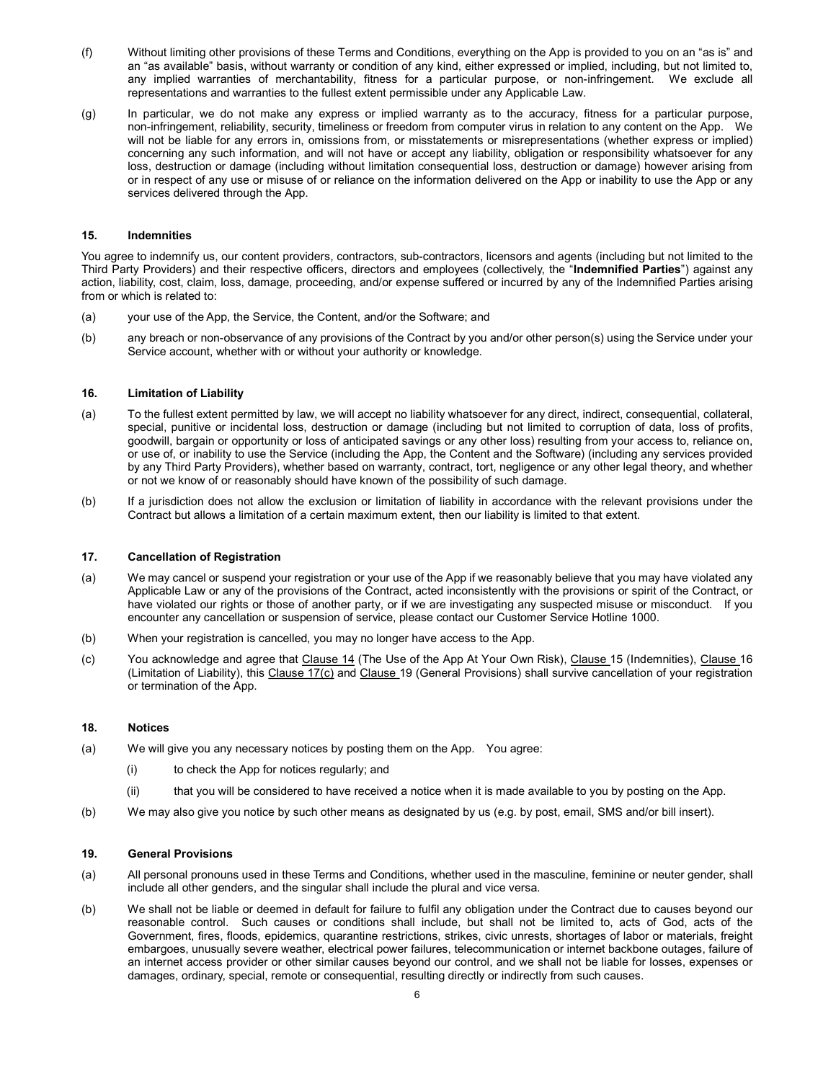- (f) Without limiting other provisions of these Terms and Conditions, everything on the App is provided to you on an "as is" and an "as available" basis, without warranty or condition of any kind, either expressed or implied, including, but not limited to, any implied warranties of merchantability, fitness for a particular purpose, or non-infringement. We exclude all representations and warranties to the fullest extent permissible under any Applicable Law.
- (g) In particular, we do not make any express or implied warranty as to the accuracy, fitness for a particular purpose, non-infringement, reliability, security, timeliness or freedom from computer virus in relation to any content on the App. We will not be liable for any errors in, omissions from, or misstatements or misrepresentations (whether express or implied) concerning any such information, and will not have or accept any liability, obligation or responsibility whatsoever for any loss, destruction or damage (including without limitation consequential loss, destruction or damage) however arising from or in respect of any use or misuse of or reliance on the information delivered on the App or inability to use the App or any services delivered through the App.

### 15. Indemnities

You agree to indemnify us, our content providers, contractors, sub-contractors, licensors and agents (including but not limited to the Third Party Providers) and their respective officers, directors and employees (collectively, the "Indemnified Parties") against any action, liability, cost, claim, loss, damage, proceeding, and/or expense suffered or incurred by any of the Indemnified Parties arising from or which is related to:

- (a) your use of the App, the Service, the Content, and/or the Software; and
- (b) any breach or non-observance of any provisions of the Contract by you and/or other person(s) using the Service under your Service account, whether with or without your authority or knowledge.

#### 16. Limitation of Liability

- (a) To the fullest extent permitted by law, we will accept no liability whatsoever for any direct, indirect, consequential, collateral, special, punitive or incidental loss, destruction or damage (including but not limited to corruption of data, loss of profits, goodwill, bargain or opportunity or loss of anticipated savings or any other loss) resulting from your access to, reliance on, or use of, or inability to use the Service (including the App, the Content and the Software) (including any services provided by any Third Party Providers), whether based on warranty, contract, tort, negligence or any other legal theory, and whether or not we know of or reasonably should have known of the possibility of such damage.
- (b) If a jurisdiction does not allow the exclusion or limitation of liability in accordance with the relevant provisions under the Contract but allows a limitation of a certain maximum extent, then our liability is limited to that extent.

## 17. Cancellation of Registration

- (a) We may cancel or suspend your registration or your use of the App if we reasonably believe that you may have violated any Applicable Law or any of the provisions of the Contract, acted inconsistently with the provisions or spirit of the Contract, or have violated our rights or those of another party, or if we are investigating any suspected misuse or misconduct. If you encounter any cancellation or suspension of service, please contact our Customer Service Hotline 1000.
- (b) When your registration is cancelled, you may no longer have access to the App.
- (c) You acknowledge and agree that Clause 14 (The Use of the App At Your Own Risk), Clause 15 (Indemnities), Clause 16 (Limitation of Liability), this Clause 17(c) and Clause 19 (General Provisions) shall survive cancellation of your registration or termination of the App.

#### 18. Notices

- (a) We will give you any necessary notices by posting them on the App. You agree:
	- (i) to check the App for notices regularly; and
	- (ii) that you will be considered to have received a notice when it is made available to you by posting on the App.
- (b) We may also give you notice by such other means as designated by us (e.g. by post, email, SMS and/or bill insert).

## 19. General Provisions

- (a) All personal pronouns used in these Terms and Conditions, whether used in the masculine, feminine or neuter gender, shall include all other genders, and the singular shall include the plural and vice versa.
- (b) We shall not be liable or deemed in default for failure to fulfil any obligation under the Contract due to causes beyond our reasonable control. Such causes or conditions shall include, but shall not be limited to, acts of God, acts of the Government, fires, floods, epidemics, quarantine restrictions, strikes, civic unrests, shortages of labor or materials, freight embargoes, unusually severe weather, electrical power failures, telecommunication or internet backbone outages, failure of an internet access provider or other similar causes beyond our control, and we shall not be liable for losses, expenses or damages, ordinary, special, remote or consequential, resulting directly or indirectly from such causes.